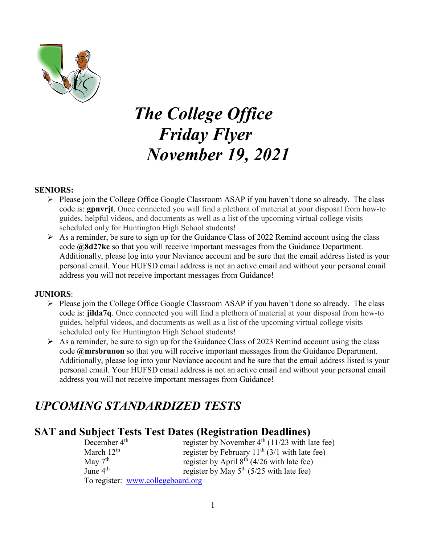

# *The College Office Friday Flyer November 19, 2021*

#### **SENIORS:**

- $\triangleright$  Please join the College Office Google Classroom ASAP if you haven't done so already. The class code is: **gpnvrjt**. Once connected you will find a plethora of material at your disposal from how-to guides, helpful videos, and documents as well as a list of the upcoming virtual college visits scheduled only for Huntington High School students!
- $\triangleright$  As a reminder, be sure to sign up for the Guidance Class of 2022 Remind account using the class code **@8d27kc** so that you will receive important messages from the Guidance Department. Additionally, please log into your Naviance account and be sure that the email address listed is your personal email. Your HUFSD email address is not an active email and without your personal email address you will not receive important messages from Guidance!

#### **JUNIORS**:

- $\triangleright$  Please join the College Office Google Classroom ASAP if you haven't done so already. The class code is: **jilda7q**. Once connected you will find a plethora of material at your disposal from how-to guides, helpful videos, and documents as well as a list of the upcoming virtual college visits scheduled only for Huntington High School students!
- $\triangleright$  As a reminder, be sure to sign up for the Guidance Class of 2023 Remind account using the class code **@mrsbrunon** so that you will receive important messages from the Guidance Department. Additionally, please log into your Naviance account and be sure that the email address listed is your personal email. Your HUFSD email address is not an active email and without your personal email address you will not receive important messages from Guidance!

# *UPCOMING STANDARDIZED TESTS*

# **SAT and Subject Tests Test Dates (Registration Deadlines)**

| December $4th$                    | register by November $4th$ (11/23 with late fee)   |
|-----------------------------------|----------------------------------------------------|
| March $12th$                      | register by February $11^{th}$ (3/1 with late fee) |
| May $7th$                         | register by April $8^{th}$ (4/26 with late fee)    |
| June $4th$                        | register by May $5^{th}$ (5/25 with late fee)      |
| To register: www.collegeboard.org |                                                    |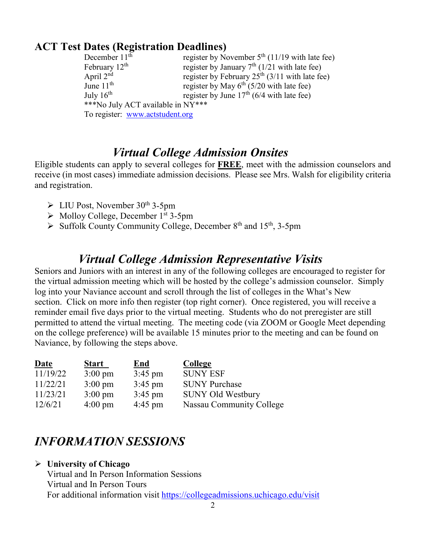# **ACT Test Dates (Registration Deadlines)**

| December $11th$                   | register by November $5th$ (11/19 with late fee) |  |  |
|-----------------------------------|--------------------------------------------------|--|--|
| February $12th$                   | register by January $7th$ (1/21 with late fee)   |  |  |
| April 2 <sup>nd</sup>             | register by February $25th$ (3/11 with late fee) |  |  |
| June $11th$                       | register by May $6th$ (5/20 with late fee)       |  |  |
| July $16^{\text{th}}$             | register by June $17th$ (6/4 with late fee)      |  |  |
| ***No July ACT available in NY*** |                                                  |  |  |
| To register: www.actstudent.org   |                                                  |  |  |

# *Virtual College Admission Onsites*

Eligible students can apply to several colleges for **FREE**, meet with the admission counselors and receive (in most cases) immediate admission decisions. Please see Mrs. Walsh for eligibility criteria and registration.

- $\triangleright$  LIU Post, November 30<sup>th</sup> 3-5pm
- $\triangleright$  Molloy College, December 1<sup>st</sup> 3-5pm
- $\triangleright$  Suffolk County Community College, December 8<sup>th</sup> and 15<sup>th</sup>, 3-5pm

# *Virtual College Admission Representative Visits*

Seniors and Juniors with an interest in any of the following colleges are encouraged to register for the virtual admission meeting which will be hosted by the college's admission counselor. Simply log into your Naviance account and scroll through the list of colleges in the What's New section. Click on more info then register (top right corner). Once registered, you will receive a reminder email five days prior to the virtual meeting. Students who do not preregister are still permitted to attend the virtual meeting. The meeting code (via ZOOM or Google Meet depending on the college preference) will be available 15 minutes prior to the meeting and can be found on Naviance, by following the steps above.

| <u>Date</u> | <u>Start</u>      | <b>End</b>        | <b>College</b>           |
|-------------|-------------------|-------------------|--------------------------|
| 11/19/22    | $3:00 \text{ pm}$ | $3:45 \text{ pm}$ | <b>SUNY ESF</b>          |
| 11/22/21    | $3:00 \text{ pm}$ | $3:45$ pm         | <b>SUNY Purchase</b>     |
| 11/23/21    | $3:00 \text{ pm}$ | $3:45 \text{ pm}$ | <b>SUNY Old Westbury</b> |
| 12/6/21     | $4:00 \text{ pm}$ | $4:45$ pm         | Nassau Community College |

# *INFORMATION SESSIONS*

 **University of Chicago** Virtual and In Person Information Sessions Virtual and In Person Tours For additional information visit<https://collegeadmissions.uchicago.edu/visit>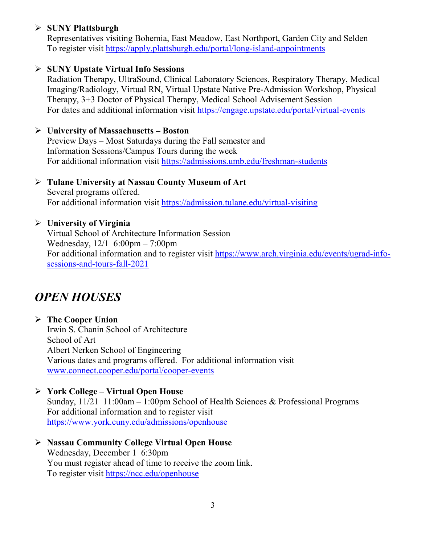# **SUNY Plattsburgh**

Representatives visiting Bohemia, East Meadow, East Northport, Garden City and Selden To register visit<https://apply.plattsburgh.edu/portal/long-island-appointments>

## **SUNY Upstate Virtual Info Sessions**

Radiation Therapy, UltraSound, Clinical Laboratory Sciences, Respiratory Therapy, Medical Imaging/Radiology, Virtual RN, Virtual Upstate Native Pre-Admission Workshop, Physical Therapy, 3+3 Doctor of Physical Therapy, Medical School Advisement Session For dates and additional information visit<https://engage.upstate.edu/portal/virtual-events>

#### **University of Massachusetts – Boston**

Preview Days – Most Saturdays during the Fall semester and Information Sessions/Campus Tours during the week For additional information visit<https://admissions.umb.edu/freshman-students>

## **Tulane University at Nassau County Museum of Art**

Several programs offered. For additional information visit<https://admission.tulane.edu/virtual-visiting>

## **University of Virginia**

Virtual School of Architecture Information Session Wednesday, 12/1 6:00pm – 7:00pm For additional information and to register visit [https://www.arch.virginia.edu/events/ugrad-info](https://www.arch.virginia.edu/events/ugrad-info-sessions-and-tours-fall-2021)[sessions-and-tours-fall-2021](https://www.arch.virginia.edu/events/ugrad-info-sessions-and-tours-fall-2021)

# *OPEN HOUSES*

#### **The Cooper Union**

Irwin S. Chanin School of Architecture School of Art Albert Nerken School of Engineering Various dates and programs offered. For additional information visit [www.connect.cooper.edu/portal/cooper-events](http://www.connect.cooper.edu/portal/cooper-events)

## **York College – Virtual Open House**

Sunday, 11/21 11:00am – 1:00pm School of Health Sciences & Professional Programs For additional information and to register visit <https://www.york.cuny.edu/admissions/openhouse>

 **Nassau Community College Virtual Open House** Wednesday, December 1 6:30pm You must register ahead of time to receive the zoom link. To register visit<https://ncc.edu/openhouse>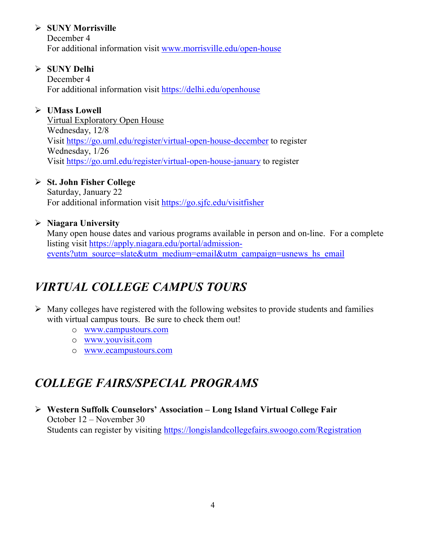# **SUNY Morrisville**

December 4 For additional information visit [www.morrisville.edu/open-house](http://www.morrisville.edu/open-house)

# **SUNY Delhi**

December 4 For additional information visit<https://delhi.edu/openhouse>

# **UMass Lowell**

Virtual Exploratory Open House Wednesday, 12/8 Visit<https://go.uml.edu/register/virtual-open-house-december> to register Wednesday, 1/26 Visit<https://go.uml.edu/register/virtual-open-house-january> to register

# **St. John Fisher College**

Saturday, January 22 For additional information visit<https://go.sjfc.edu/visitfisher>

# **Niagara University**

Many open house dates and various programs available in person and on-line. For a complete listing visit [https://apply.niagara.edu/portal/admission](https://apply.niagara.edu/portal/admission-events?utm_source=slate&utm_medium=email&utm_campaign=usnews_hs_email)[events?utm\\_source=slate&utm\\_medium=email&utm\\_campaign=usnews\\_hs\\_email](https://apply.niagara.edu/portal/admission-events?utm_source=slate&utm_medium=email&utm_campaign=usnews_hs_email)

# *VIRTUAL COLLEGE CAMPUS TOURS*

- $\triangleright$  Many colleges have registered with the following websites to provide students and families with virtual campus tours. Be sure to check them out!
	- o [www.campustours.com](http://www.campustours.com/)
	- o [www.youvisit.com](http://www.youvisit.com/)
	- o [www.ecampustours.com](http://www.ecampustours.com/)

# *COLLEGE FAIRS/SPECIAL PROGRAMS*

 **Western Suffolk Counselors' Association – Long Island Virtual College Fair** October 12 – November 30 Students can register by visiting<https://longislandcollegefairs.swoogo.com/Registration>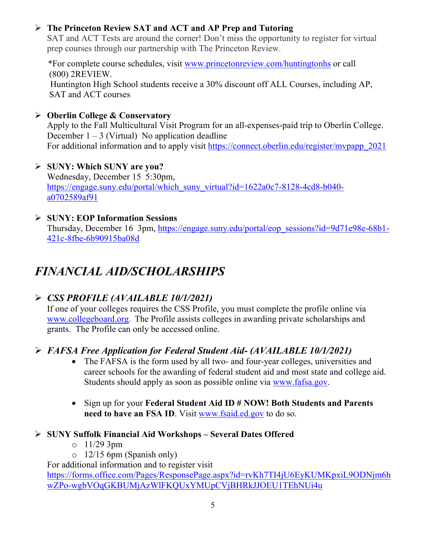# **The Princeton Review SAT and ACT and AP Prep and Tutoring**

SAT and ACT Tests are around the corner! Don't miss the opportunity to register for virtual prep courses through our partnership with The Princeton Review.

 \*For complete course schedules, visit [www.princetonreview.com/huntingtonhs](http://www.princetonreview.com/huntingtonhs) or call (800) 2REVIEW. Huntington High School students receive a 30% discount off ALL Courses, including AP, SAT and ACT courses

**Oberlin College & Conservatory**

Apply to the Fall Multicultural Visit Program for an all-expenses-paid trip to Oberlin College. December  $1 - 3$  (Virtual) No application deadline

For additional information and to apply visit https://connect.oberlin.edu/register/mypapp\_2021

- **SUNY: Which SUNY are you?** Wednesday, December 15 5:30pm, [https://engage.suny.edu/portal/which\\_suny\\_virtual?id=1622a0c7-8128-4cd8-b040](https://engage.suny.edu/portal/which_suny_virtual?id=1622a0c7-8128-4cd8-b040-a0702589af91) [a0702589af91](https://engage.suny.edu/portal/which_suny_virtual?id=1622a0c7-8128-4cd8-b040-a0702589af91)
- **SUNY: EOP Information Sessions** Thursday, December 16 3pm, [https://engage.suny.edu/portal/eop\\_sessions?id=9d71e98e-68b1-](https://engage.suny.edu/portal/eop_sessions?id=9d71e98e-68b1-421c-8fbe-6b90915ba08d) [421c-8fbe-6b90915ba08d](https://engage.suny.edu/portal/eop_sessions?id=9d71e98e-68b1-421c-8fbe-6b90915ba08d)

# *FINANCIAL AID/SCHOLARSHIPS*

# *CSS PROFILE (AVAILABLE 10/1/2021)*

If one of your colleges requires the CSS Profile, you must complete the profile online via [www.collegeboard.org](http://www.collegeboard.org/). The Profile assists colleges in awarding private scholarships and grants. The Profile can only be accessed online.

# *FAFSA Free Application for Federal Student Aid- (AVAILABLE 10/1/2021)*

- The FAFSA is the form used by all two- and four-year colleges, universities and career schools for the awarding of [federal student aid](http://studentaid.ed.gov/students/publications/student_guide/2010-2011/english/typesofFSA_grants.htm) and most state and college aid. Students should apply as soon as possible online via [www.fafsa.gov.](http://www.fafsa.gov/)
- Sign up for your **Federal Student Aid ID # NOW! Both Students and Parents need to have an FSA ID**. Visit [www.fsaid.ed.gov](http://www.fsaid.ed.gov/) to do so.

# **SUNY Suffolk Financial Aid Workshops – Several Dates Offered**

- $\circ$  11/29 3pm
- o 12/15 6pm (Spanish only)

For additional information and to register visit

[https://forms.office.com/Pages/ResponsePage.aspx?id=rvKh7TI4jU6EyKUMKpxiL9ODNjm6h](https://forms.office.com/Pages/ResponsePage.aspx?id=rvKh7TI4jU6EyKUMKpxiL9ODNjm6hwZPo-wgbVOqGKBUMjAzWlFKQUxYMUpCVjBHRkJJOEU1TEhNUi4u) [wZPo-wgbVOqGKBUMjAzWlFKQUxYMUpCVjBHRkJJOEU1TEhNUi4u](https://forms.office.com/Pages/ResponsePage.aspx?id=rvKh7TI4jU6EyKUMKpxiL9ODNjm6hwZPo-wgbVOqGKBUMjAzWlFKQUxYMUpCVjBHRkJJOEU1TEhNUi4u)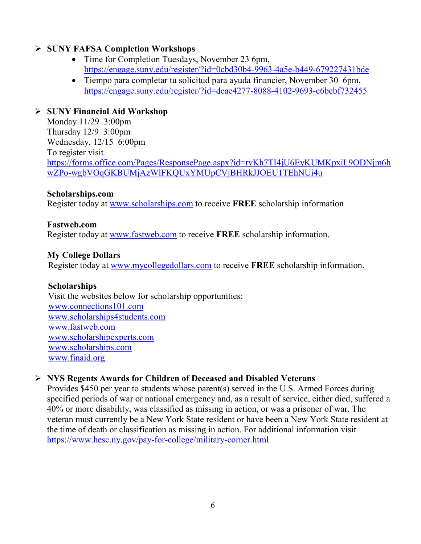## **SUNY FAFSA Completion Workshops**

- Time for Completion Tuesdays, November 23 6pm, <https://engage.suny.edu/register/?id=0cbd30b4-9963-4a5e-b449-679227431bde>
- Tiempo para completar tu solicitud para ayuda financier, November 30 6pm, <https://engage.suny.edu/register/?id=dcae4277-8088-4102-9693-e6bebf732455>

## **SUNY Financial Aid Workshop**

Monday 11/29 3:00pm Thursday 12/9 3:00pm Wednesday, 12/15 6:00pm To register visit [https://forms.office.com/Pages/ResponsePage.aspx?id=rvKh7TI4jU6EyKUMKpxiL9ODNjm6h](https://forms.office.com/Pages/ResponsePage.aspx?id=rvKh7TI4jU6EyKUMKpxiL9ODNjm6hwZPo-wgbVOqGKBUMjAzWlFKQUxYMUpCVjBHRkJJOEU1TEhNUi4u) [wZPo-wgbVOqGKBUMjAzWlFKQUxYMUpCVjBHRkJJOEU1TEhNUi4u](https://forms.office.com/Pages/ResponsePage.aspx?id=rvKh7TI4jU6EyKUMKpxiL9ODNjm6hwZPo-wgbVOqGKBUMjAzWlFKQUxYMUpCVjBHRkJJOEU1TEhNUi4u)

#### **Scholarships.com**

Register today at [www.scholarships.com](http://www.scholarships.com/) to receive **FREE** scholarship information

#### **Fastweb.com**

Register today at [www.fastweb.com](http://www.fastweb.com/) to receive **FREE** scholarship information.

## **My College Dollars**

Register today at [www.mycollegedollars.com](http://www.mycollegedollars.com/) to receive **FREE** scholarship information.

#### **Scholarships**

 Visit the websites below for scholarship opportunities: [www.connections101.com](http://www.connections101.com/) [www.scholarships4students.com](http://www.scholarships4students.com/) [www.fastweb.com](http://www.fastweb.com/) [www.scholarshipexperts.com](http://www.scholarshipexperts.com/) [www.scholarships.com](http://www.scholarships.com/) [www.finaid.org](http://www.finaid.org/)

## **NYS Regents Awards for Children of Deceased and Disabled Veterans**

Provides \$450 per year to students whose parent(s) served in the U.S. Armed Forces during specified periods of war or national emergency and, as a result of service, either died, suffered a 40% or more disability, was classified as missing in action, or was a prisoner of war. The veteran must currently be a New York State resident or have been a New York State resident at the time of death or classification as missing in action. For additional information visit <https://www.hesc.ny.gov/pay-for-college/military-corner.html>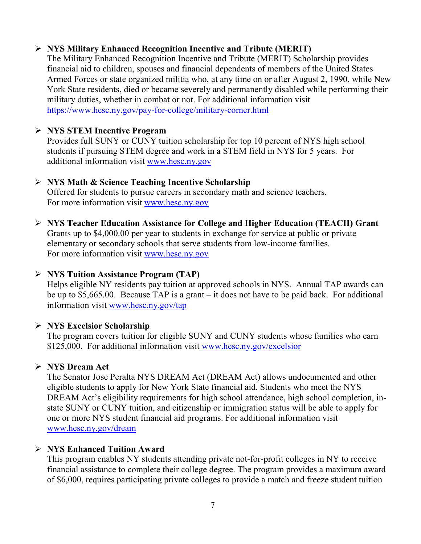# **NYS Military Enhanced Recognition Incentive and Tribute (MERIT)**

The Military Enhanced Recognition Incentive and Tribute (MERIT) Scholarship provides financial aid to children, spouses and financial dependents of members of the United States Armed Forces or state organized militia who, at any time on or after August 2, 1990, while New York State residents, died or became severely and permanently disabled while performing their military duties, whether in combat or not. For additional information visit <https://www.hesc.ny.gov/pay-for-college/military-corner.html>

## **NYS STEM Incentive Program**

Provides full SUNY or CUNY tuition scholarship for top 10 percent of NYS high school students if pursuing STEM degree and work in a STEM field in NYS for 5 years. For additional information visit [www.hesc.ny.gov](http://www.hesc.ny.gov/)

## **NYS Math & Science Teaching Incentive Scholarship**

Offered for students to pursue careers in secondary math and science teachers. For more information visit [www.hesc.ny.gov](http://www.hesc.ny.gov/)

 **NYS Teacher Education Assistance for College and Higher Education (TEACH) Grant** Grants up to \$4,000.00 per year to students in exchange for service at public or private elementary or secondary schools that serve students from low-income families.

For more information visit [www.hesc.ny.gov](http://www.hesc.ny.gov/) 

## **NYS Tuition Assistance Program (TAP)**

Helps eligible NY residents pay tuition at approved schools in NYS. Annual TAP awards can be up to \$5,665.00. Because TAP is a grant – it does not have to be paid back. For additional information visit [www.hesc.ny.gov/tap](http://www.hesc.ny.gov/tap)

# **NYS Excelsior Scholarship**

The program covers tuition for eligible SUNY and CUNY students whose families who earn \$125,000. For additional information visit [www.hesc.ny.gov/](http://www.hesc.ny.gov/)excelsior

# **NYS Dream Act**

The Senator Jose Peralta NYS DREAM Act (DREAM Act) allows undocumented and other eligible students to apply for New York State financial aid. Students who meet the NYS DREAM Act's eligibility requirements for high school attendance, high school completion, instate SUNY or CUNY tuition, and citizenship or immigration status will be able to apply for one or more NYS student financial aid programs. For additional information visit [www.hesc.ny.gov/dream](http://www.hesc.ny.gov/dream)

# **NYS Enhanced Tuition Award**

This program enables NY students attending private not-for-profit colleges in NY to receive financial assistance to complete their college degree. The program provides a maximum award of \$6,000, requires participating private colleges to provide a match and freeze student tuition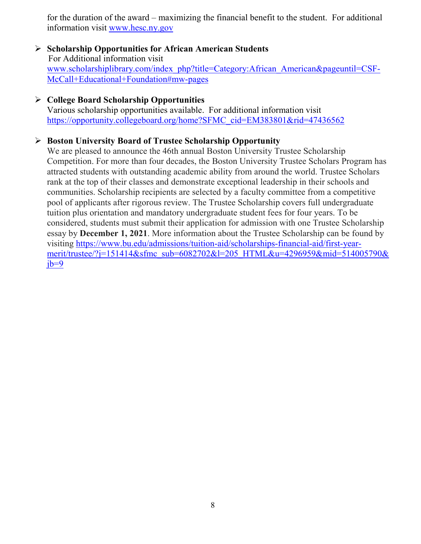for the duration of the award – maximizing the financial benefit to the student. For additional information visit [www.hesc.ny.gov](http://www.hesc.ny.gov/)

#### **Scholarship Opportunities for African American Students** For Additional information visit [www.scholarshiplibrary.com/index\\_php?title=Category:African\\_American&pageuntil=CSF-](http://www.scholarshiplibrary.com/index_php?title=Category:African_American&pageuntil=CSF-%20%20%20McCall+Educational+Foundation#mw-pages)[McCall+Educational+Foundation#mw-pages](http://www.scholarshiplibrary.com/index_php?title=Category:African_American&pageuntil=CSF-%20%20%20McCall+Educational+Foundation#mw-pages)

#### **College Board Scholarship Opportunities**

Various scholarship opportunities available. For additional information visit [https://opportunity.collegeboard.org/home?SFMC\\_cid=EM383801&rid=47436562](https://opportunity.collegeboard.org/home?SFMC_cid=EM383801&rid=47436562)

#### **Boston University Board of Trustee Scholarship Opportunity**

We are pleased to announce the 46th annual Boston University Trustee Scholarship Competition. For more than four decades, the Boston University Trustee Scholars Program has attracted students with outstanding academic ability from around the world. Trustee Scholars rank at the top of their classes and demonstrate exceptional leadership in their schools and communities. Scholarship recipients are selected by a faculty committee from a competitive pool of applicants after rigorous review. The Trustee Scholarship covers full undergraduate tuition plus orientation and mandatory undergraduate student fees for four years. To be considered, students must submit their application for admission with one Trustee Scholarship essay by **December 1, 2021**. More information about the Trustee Scholarship can be found by visiting [https://www.bu.edu/admissions/tuition-aid/scholarships-financial-aid/first-year](https://www.bu.edu/admissions/tuition-aid/scholarships-financial-aid/first-year-merit/trustee/?j=151414&sfmc_sub=6082702&l=205_HTML&u=4296959&mid=514005790&jb=9)[merit/trustee/?j=151414&sfmc\\_sub=6082702&l=205\\_HTML&u=4296959&mid=514005790&](https://www.bu.edu/admissions/tuition-aid/scholarships-financial-aid/first-year-merit/trustee/?j=151414&sfmc_sub=6082702&l=205_HTML&u=4296959&mid=514005790&jb=9)  $ib=9$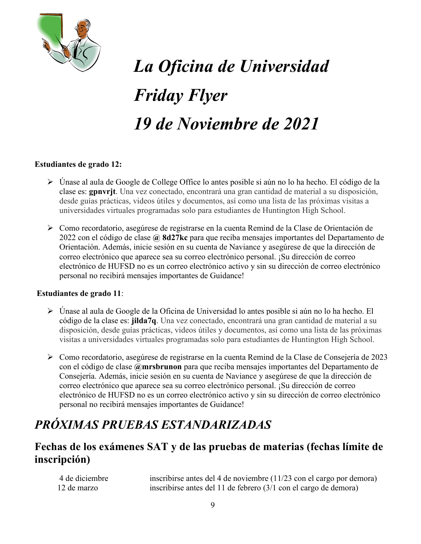

# *La Oficina de Universidad Friday Flyer 19 de Noviembre de 2021*

#### **Estudiantes de grado 12:**

- Únase al aula de Google de College Office lo antes posible si aún no lo ha hecho. El código de la clase es: **gpnvrjt**. Una vez conectado, encontrará una gran cantidad de material a su disposición, desde guías prácticas, videos útiles y documentos, así como una lista de las próximas visitas a universidades virtuales programadas solo para estudiantes de Huntington High School.
- Como recordatorio, asegúrese de registrarse en la cuenta Remind de la Clase de Orientación de 2022 con el código de clase **@ 8d27kc** para que reciba mensajes importantes del Departamento de Orientación. Además, inicie sesión en su cuenta de Naviance y asegúrese de que la dirección de correo electrónico que aparece sea su correo electrónico personal. ¡Su dirección de correo electrónico de HUFSD no es un correo electrónico activo y sin su dirección de correo electrónico personal no recibirá mensajes importantes de Guidance!

#### **Estudiantes de grado 11**:

- Únase al aula de Google de la Oficina de Universidad lo antes posible si aún no lo ha hecho. El código de la clase es: **jilda7q**. Una vez conectado, encontrará una gran cantidad de material a su disposición, desde guías prácticas, videos útiles y documentos, así como una lista de las próximas visitas a universidades virtuales programadas solo para estudiantes de Huntington High School.
- Como recordatorio, asegúrese de registrarse en la cuenta Remind de la Clase de Consejería de 2023 con el código de clase **@mrsbrunon** para que reciba mensajes importantes del Departamento de Consejería. Además, inicie sesión en su cuenta de Naviance y asegúrese de que la dirección de correo electrónico que aparece sea su correo electrónico personal. ¡Su dirección de correo electrónico de HUFSD no es un correo electrónico activo y sin su dirección de correo electrónico personal no recibirá mensajes importantes de Guidance!

# *PRÓXIMAS PRUEBAS ESTANDARIZADAS*

# **Fechas de los exámenes SAT y de las pruebas de materias (fechas límite de inscripción)**

 4 de diciembre inscribirse antes del 4 de noviembre (11/23 con el cargo por demora) 12 de marzo inscribirse antes del 11 de febrero (3/1 con el cargo de demora)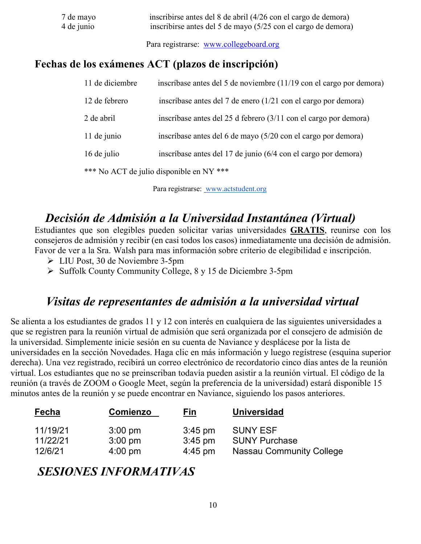| 7 de mayo  | inscribirse antes del 8 de abril (4/26 con el cargo de demora) |
|------------|----------------------------------------------------------------|
| 4 de junio | inscribirse antes del 5 de mayo (5/25 con el cargo de demora)  |
|            | Para registrarse: www.collegeboard.org                         |

**Fechas de los exámenes ACT (plazos de inscripción)**

| 11 de diciembre | inscríbase antes del 5 de noviembre (11/19 con el cargo por demora)        |
|-----------------|----------------------------------------------------------------------------|
| 12 de febrero   | inscríbase antes del 7 de enero (1/21 con el cargo por demora)             |
| 2 de abril      | inscríbase antes del 25 d febrero $(3/11 \text{ con el cargo por demora})$ |
| 11 de junio     | inscríbase antes del 6 de mayo (5/20 con el cargo por demora)              |
| 16 de julio     | inscríbase antes del 17 de junio (6/4 con el cargo por demora)             |
|                 | *** No ACT de julio disponible en NY ***                                   |

Para registrarse: [www.actstudent.org](http://www.actstudent.org/)

# *Decisión de Admisión a la Universidad Instantánea (Virtual)*

Estudiantes que son elegibles pueden solicitar varias universidades **GRATIS**, reunirse con los consejeros de admisión y recibir (en casi todos los casos) inmediatamente una decisión de admisión. Favor de ver a la Sra. Walsh para mas información sobre criterio de elegibilidad e inscripción.

- LIU Post, 30 de Noviembre 3-5pm
- $\triangleright$  Suffolk County Community College, 8 y 15 de Diciembre 3-5pm

# *Visitas de representantes de admisión a la universidad virtual*

Se alienta a los estudiantes de grados 11 y 12 con interés en cualquiera de las siguientes universidades a que se registren para la reunión virtual de admisión que será organizada por el consejero de admisión de la universidad. Simplemente inicie sesión en su cuenta de Naviance y desplácese por la lista de universidades en la sección Novedades. Haga clic en más información y luego regístrese (esquina superior derecha). Una vez registrado, recibirá un correo electrónico de recordatorio cinco días antes de la reunión virtual. Los estudiantes que no se preinscriban todavía pueden asistir a la reunión virtual. El código de la reunión (a través de ZOOM o Google Meet, según la preferencia de la universidad) estará disponible 15 minutos antes de la reunión y se puede encontrar en Naviance, siguiendo los pasos anteriores.

| <u>Fecha</u>         | <b>Comienzo</b>                        | <u>Fin</u>             | <b>Universidad</b>                      |
|----------------------|----------------------------------------|------------------------|-----------------------------------------|
| 11/19/21<br>11/22/21 | $3:00 \text{ pm}$<br>$3:00 \text{ pm}$ | $3:45$ pm<br>$3:45$ pm | <b>SUNY ESF</b><br><b>SUNY Purchase</b> |
| 12/6/21              | $4:00 \text{ pm}$                      | $4:45 \text{ pm}$      | <b>Nassau Community College</b>         |

# *SESIONES INFORMATIVAS*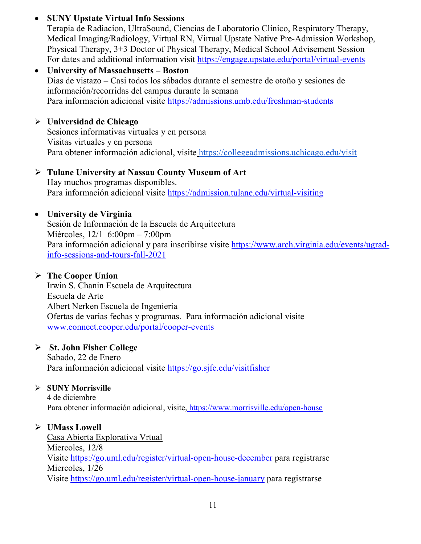# • **SUNY Upstate Virtual Info Sessions**

Terapia de Radiacion, UltraSound, Ciencias de Laboratorio Clinico, Respiratory Therapy, Medical Imaging/Radiology, Virtual RN, Virtual Upstate Native Pre-Admission Workshop, Physical Therapy, 3+3 Doctor of Physical Therapy, Medical School Advisement Session For dates and additional information visit<https://engage.upstate.edu/portal/virtual-events>

## • **University of Massachusetts – Boston** Dias de vistazo – Casi todos los sábados durante el semestre de otoño y sesiones de información/recorridas del campus durante la semana Para información adicional visite<https://admissions.umb.edu/freshman-students>

# **Universidad de Chicago**

Sesiones informativas virtuales y en persona Visitas virtuales y en persona Para obtener información adicional, visite <https://collegeadmissions.uchicago.edu/visit>

# **Tulane University at Nassau County Museum of Art**

Hay muchos programas disponibles. Para información adicional visite <https://admission.tulane.edu/virtual-visiting>

# • **University de Virginia**

Sesión de Información de la Escuela de Arquitectura Miércoles, 12/1 6:00pm – 7:00pm Para información adicional y para inscribirse visite [https://www.arch.virginia.edu/events/ugrad](https://www.arch.virginia.edu/events/ugrad-info-sessions-and-tours-fall-2021)[info-sessions-and-tours-fall-2021](https://www.arch.virginia.edu/events/ugrad-info-sessions-and-tours-fall-2021)

# **The Cooper Union**

Irwin S. Chanin Escuela de Arquitectura Escuela de Arte Albert Nerken Escuela de Ingeniería Ofertas de varias fechas y programas. Para información adicional visite [www.connect.cooper.edu/portal/cooper-events](http://www.connect.cooper.edu/portal/cooper-events)

# **St. John Fisher College**

Sabado, 22 de Enero Para información adicional visite<https://go.sjfc.edu/visitfisher>

# **SUNY Morrisville**

4 de diciembre Para obtener información adicional, visite, <https://www.morrisville.edu/open-house>

# **UMass Lowell**

Casa Abierta Explorativa Vrtual Miercoles, 12/8 Visite<https://go.uml.edu/register/virtual-open-house-december> para registrarse Miercoles, 1/26 Visite<https://go.uml.edu/register/virtual-open-house-january> para registrarse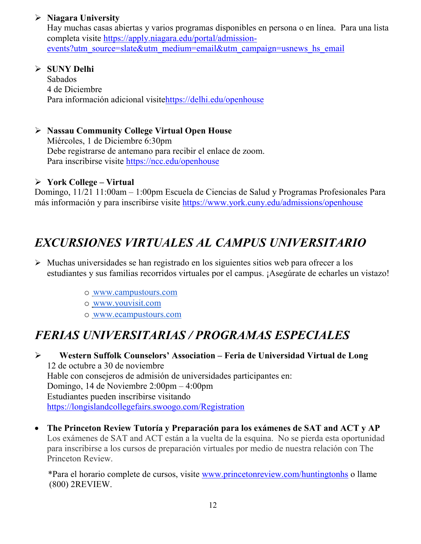# **Niagara University**

Hay muchas casas abiertas y varios programas disponibles en persona o en línea. Para una lista completa visite [https://apply.niagara.edu/portal/admission](https://apply.niagara.edu/portal/admission-events?utm_source=slate&utm_medium=email&utm_campaign=usnews_hs_email)[events?utm\\_source=slate&utm\\_medium=email&utm\\_campaign=usnews\\_hs\\_email](https://apply.niagara.edu/portal/admission-events?utm_source=slate&utm_medium=email&utm_campaign=usnews_hs_email)

## **SUNY Delhi**

Sabados 4 de Diciembre Para información adicional visit[ehttps://delhi.edu/openhouse](https://delhi.edu/openhouse)

# **Nassau Community College Virtual Open House**

Miércoles, 1 de Diciembre 6:30pm Debe registrarse de antemano para recibir el enlace de zoom. Para inscribirse visite <https://ncc.edu/openhouse>

## **York College – Virtual**

Domingo, 11/21 11:00am – 1:00pm Escuela de Ciencias de Salud y Programas Profesionales Para más información y para inscribirse visite <https://www.york.cuny.edu/admissions/openhouse>

# *EXCURSIONES VIRTUALES AL CAMPUS UNIVERSITARIO*

- $\triangleright$  Muchas universidades se han registrado en los siguientes sitios web para ofrecer a los estudiantes y sus familias recorridos virtuales por el campus. ¡Asegúrate de echarles un vistazo!
	- o [www.campustours.com](http://www.campustours.com/)
	- o [www.youvisit.com](http://www.youvisit.com/)
	- o [www.ecampustours.com](http://www.ecampustours.com/)

# *FERIAS UNIVERSITARIAS / PROGRAMAS ESPECIALES*

 **Western Suffolk Counselors' Association – Feria de Universidad Virtual de Long**  12 de octubre a 30 de noviembre Hable con consejeros de admisión de universidades participantes en: Domingo, 14 de Noviembre 2:00pm – 4:00pm Estudiantes pueden inscribirse visitando <https://longislandcollegefairs.swoogo.com/Registration>

• **The Princeton Review Tutoría y Preparación para los exámenes de SAT and ACT y AP**  Los exámenes de SAT and ACT están a la vuelta de la esquina. No se pierda esta oportunidad para inscribirse a los cursos de preparación virtuales por medio de nuestra relación con The Princeton Review.

 \*Para el horario complete de cursos, visite [www.princetonreview.com/huntingtonhs](http://www.princetonreview.com/huntingtonhs) o llame (800) 2REVIEW.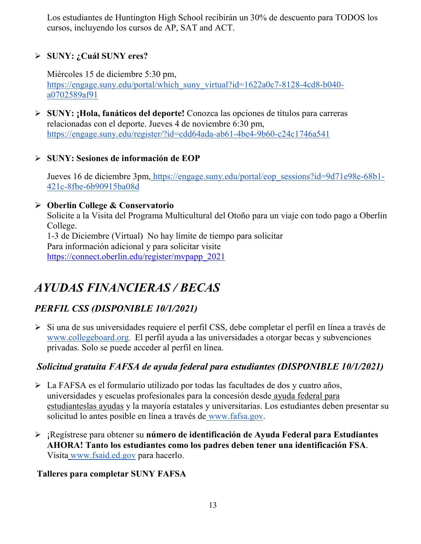Los estudiantes de Huntington High School recibirán un 30% de descuento para TODOS los cursos, incluyendo los cursos de AP, SAT and ACT.

# **SUNY: ¿Cuál SUNY eres?**

Miércoles 15 de diciembre 5:30 pm[,](https://engage.suny.edu/portal/which_suny_virtual?id=1622a0c7-8128-4cd8-b040-a0702589af91) [https://engage.suny.edu/portal/which\\_suny\\_virtual?id=1622a0c7-8128-4cd8-b040](https://engage.suny.edu/portal/which_suny_virtual?id=1622a0c7-8128-4cd8-b040-a0702589af91) [a0702589af91](https://engage.suny.edu/portal/which_suny_virtual?id=1622a0c7-8128-4cd8-b040-a0702589af91)

 **SUNY: ¡Hola, fanáticos del deporte!** Conozca las opcione[s de títulos para carreras](https://engage.suny.edu/register/?id=cdd64ada-ab61-4be4-9b60-c24c1746a541)  relacionadas con el deporte. Jueves 4 de noviembre 6:30 pm, <https://engage.suny.edu/register/?id=cdd64ada-ab61-4be4-9b60-c24c1746a541>

# **SUNY: Sesiones de información de EOP**

Jueves 16 de diciembre 3pm, [https://engage.suny.edu/portal/eop\\_sessions?id=9d71e98e-68b1-](https://engage.suny.edu/portal/eop_sessions?id=9d71e98e-68b1-421c-8fbe-6b90915ba08d) [421c-8fbe-6b90915ba08d](https://engage.suny.edu/portal/eop_sessions?id=9d71e98e-68b1-421c-8fbe-6b90915ba08d)

# **Oberlin College & Conservatorio**

Solicite a la Visita del Programa Multicultural del Otoño para un viaje con todo pago a Oberlin College.

1-3 de Diciembre (Virtual) No hay límite de tiempo para solicitar Para información adicional y para solicitar visite [https://connect.oberlin.edu/register/mvpapp\\_2021](https://connect.oberlin.edu/register/mvpapp_2021)

# *AYUDAS FINANCIERAS / BECAS*

# *PERFIL CSS (DISPONIBLE 10/1/2021)*

Si una d[e](http://www.collegeboard.org/) sus universidades requiere el perfil CSS, debe completar el perfil en línea a través de [www.collegeboard.org.](http://www.collegeboard.org/) El perfil ayuda a las universidades a otorgar becas y subvenciones privadas. Solo se puede acceder al perfil en línea.

# *Solicitud gratuita FAFSA de ayuda federal para estudiantes (DISPONIBLE 10/1/2021)*

- La FAFSA es el formulario utilizado por todas las facultades de dos y cuatro años, universidades y escuelas profesionales para la concesión desde [ayuda federal para](http://studentaid.ed.gov/students/publications/student_guide/2010-2011/english/typesofFSA_grants.htm)  [estudianteslas ayudas](http://studentaid.ed.gov/students/publications/student_guide/2010-2011/english/typesofFSA_grants.htm) y la mayoría estatales y universitarias. Los estudiantes deben presentar su solicitud lo antes posible en línea a través de [www.fafsa.gov.](http://www.fafsa.gov/)
- ¡Regístrese para obtener su **número de identificación de Ayuda Federal para Estudiantes AHORA! Tanto los estudiantes como los padres deben tener una identificación FSA**. Visita [www.fsaid.ed.gov](http://www.fsaid.ed.gov/) para hacerlo.

# **Talleres para completar SUNY FAFSA**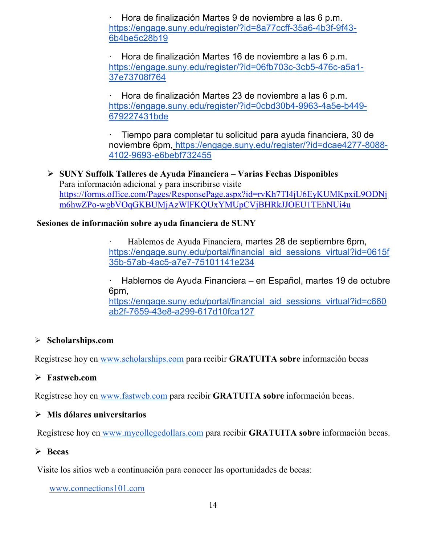· Hora de finalización Martes 9 de noviembre a las 6 p.m[.](https://engage.suny.edu/register/?id=8a77ccff-35a6-4b3f-9f43-6b4be5c28b19) [https://engage.suny.edu/register/?id=8a77ccff-35a6-4b3f-9f43-](https://engage.suny.edu/register/?id=8a77ccff-35a6-4b3f-9f43-6b4be5c28b19) [6b4be5c28b19](https://engage.suny.edu/register/?id=8a77ccff-35a6-4b3f-9f43-6b4be5c28b19)

· Hora de finalización Martes 16 de noviembre a las 6 p.m[.](https://engage.suny.edu/register/?id=06fb703c-3cb5-476c-a5a1-37e73708f764) [https://engage.suny.edu/register/?id=06fb703c-3cb5-476c-a5a1-](https://engage.suny.edu/register/?id=06fb703c-3cb5-476c-a5a1-37e73708f764) [37e73708f764](https://engage.suny.edu/register/?id=06fb703c-3cb5-476c-a5a1-37e73708f764)

· Hora de finalización Martes 23 de noviembre a las 6 p.m[.](https://engage.suny.edu/register/?id=0cbd30b4-9963-4a5e-b449-679227431bde) [https://engage.suny.edu/register/?id=0cbd30b4-9963-4a5e-b449-](https://engage.suny.edu/register/?id=0cbd30b4-9963-4a5e-b449-679227431bde) [679227431bde](https://engage.suny.edu/register/?id=0cbd30b4-9963-4a5e-b449-679227431bde)

· Tiempo para completar tu solicitud para ayuda financiera, 30 de noviembre 6pm, [https://engage.suny.edu/register/?id=dcae4277-8088-](https://engage.suny.edu/register/?id=dcae4277-8088-4102-9693-e6bebf732455) [4102-9693-e6bebf732455](https://engage.suny.edu/register/?id=dcae4277-8088-4102-9693-e6bebf732455)

 **SUNY Suffolk Talleres de Ayuda Financiera – Varias Fechas Disponibles** Para información adicional y para inscribirse visite [https://forms.office.com/Pages/ResponsePage.aspx?id=rvKh7TI4jU6EyKUMKpxiL9ODNj](https://forms.office.com/Pages/ResponsePage.aspx?id=rvKh7TI4jU6EyKUMKpxiL9ODNjm6hwZPo-wgbVOqGKBUMjAzWlFKQUxYMUpCVjBHRkJJOEU1TEhNUi4u) [m6hwZPo-wgbVOqGKBUMjAzWlFKQUxYMUpCVjBHRkJJOEU1TEhNUi4u](https://forms.office.com/Pages/ResponsePage.aspx?id=rvKh7TI4jU6EyKUMKpxiL9ODNjm6hwZPo-wgbVOqGKBUMjAzWlFKQUxYMUpCVjBHRkJJOEU1TEhNUi4u)

## **Sesiones de información sobre ayuda financiera de SUNY**

· Hablemos de Ayuda Financiera, martes 28 de septiembre 6pm[,](https://engage.suny.edu/portal/financial_aid_sessions_virtual?id=0615f35b-57ab-4ac5-a7e7-75101141e234) [https://engage.suny.edu/portal/financial\\_aid\\_sessions\\_virtual?id=0615f](https://engage.suny.edu/portal/financial_aid_sessions_virtual?id=0615f35b-57ab-4ac5-a7e7-75101141e234) [35b-57ab-4ac5-a7e7-75101141e234](https://engage.suny.edu/portal/financial_aid_sessions_virtual?id=0615f35b-57ab-4ac5-a7e7-75101141e234)

· Hablemos de Ayuda Financiera – [en Español, martes 19 de octubre](https://engage.suny.edu/portal/financial_aid_sessions_virtual?id=c660ab2f-7659-43e8-a299-617d10fca127)  6pm,

https://engage.suny.edu/portal/financial aid sessions virtual?id=c660 [ab2f-7659-43e8-a299-617d10fca127](https://engage.suny.edu/portal/financial_aid_sessions_virtual?id=c660ab2f-7659-43e8-a299-617d10fca127)

## **Scholarships.com**

Regístrese hoy en [www.scholarships.com](http://www.scholarships.com/) para recibir **GRATUITA sobre** información becas

## **Fastweb.com**

Regístrese hoy en [www.fastweb.com](http://www.fastweb.com/) para recibir **GRATUITA sobre** información becas.

## **Mis dólares universitarios**

Regístrese hoy en [www.mycollegedollars.com](http://www.mycollegedollars.com/) para recibir **GRATUITA sobre** información becas.

# **Becas**

Visite los sitios web a continuación para conocer las oportunidades de becas:

[www.connections101.com](http://www.connections101.com/)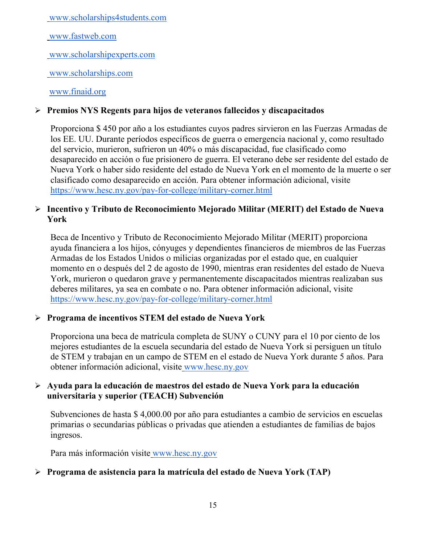[www.scholarships4students.com](http://www.scholarships4students.com/)

[www.fastweb.com](http://www.fastweb.com/)

[www.scholarshipexperts.com](http://www.scholarshipexperts.com/)

[www.scholarships.com](http://www.scholarships.com/)

[www.finaid.org](http://www.finaid.org/)

## **Premios NYS Regents para hijos de veteranos fallecidos y discapacitados**

Proporciona \$ 450 por año a los estudiantes cuyos padres sirvieron en las Fuerzas Armadas de los EE. UU. Durante períodos específicos de guerra o emergencia nacional y, como resultado del servicio, murieron, sufrieron un 40% o más discapacidad, fue clasificado como desaparecido en acción o fue prisionero de guerra. El veterano debe ser residente del estado de Nueva York o haber sido residente del estado de Nueva York en el momento de la muerte o ser clasificado como desaparecido en acción. Para obtener información adicional, visit[e](https://www.hesc.ny.gov/pay-for-college/military-corner.html) <https://www.hesc.ny.gov/pay-for-college/military-corner.html>

## **Incentivo y Tributo de Reconocimiento Mejorado Militar (MERIT) del Estado de Nueva York**

Beca de Incentivo y Tributo de Reconocimiento Mejorado Militar (MERIT) proporciona ayuda financiera a los hijos, cónyuges y dependientes financieros de miembros de las Fuerzas Armadas de los Estados Unidos o milicias organizadas por el estado que, en cualquier momento en o después del 2 de agosto de 1990, mientras eran residentes del estado de Nueva York, murieron o quedaron grave y permanentemente discapacitados mientras realizaban sus deberes militares, ya sea en combate o no. Para obtener información adicional, visit[e](https://www.hesc.ny.gov/pay-for-college/military-corner.html) <https://www.hesc.ny.gov/pay-for-college/military-corner.html>

## **Programa de incentivos STEM del estado de Nueva York**

Proporciona una beca de matrícula completa de SUNY o CUNY para el 10 por ciento de los mejores estudiantes de la escuela secundaria del estado de Nueva York si persiguen un título de STEM y trabajan en un campo de STEM en el estado de Nueva York durante 5 años. Para obtener información adicional, visite [www.hesc.ny.gov](http://www.hesc.ny.gov/)

## **Ayuda para la educación de maestros del estado de Nueva York para la educación universitaria y superior (TEACH) Subvención**

Subvenciones de hasta \$ 4,000.00 por año para estudiantes a cambio de servicios en escuelas primarias o secundarias públicas o privadas que atienden a estudiantes de familias de bajos ingresos.

Para más información visite [www.hesc.ny.gov](http://www.hesc.ny.gov/) 

# **Programa de asistencia para la matrícula del estado de Nueva York (TAP)**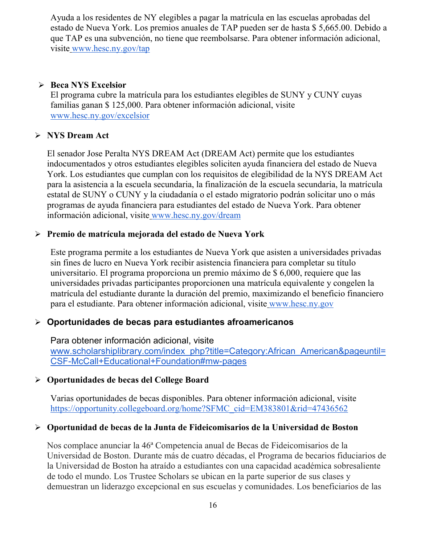Ayuda a los residentes de NY elegibles a pagar la matrícula en las escuelas aprobadas del estado de Nueva York. Los premios anuales de TAP pueden ser de hasta \$ 5,665.00. Debido a que TAP es una subvención, no tiene que reembolsarse. Para obtener información adicional, visite [www.hesc.ny.gov/tap](http://www.hesc.ny.gov/tap)

## **Beca NYS Excelsior**

El programa cubre la matrícula para los estudiantes elegibles de SU[NY y CUNY cuyas](http://www.hesc.ny.gov/)  familias ganan \$ 125,000. Para obtener información adicional, visite [www.hesc.ny.gov/](http://www.hesc.ny.gov/)excelsior

# **NYS Dream Act**

El senador Jose Peralta NYS DREAM Act (DREAM Act) permite que los estudiantes indocumentados y otros estudiantes elegibles soliciten ayuda financiera del estado de Nueva York. Los estudiantes que cumplan con los requisitos de elegibilidad de la NYS DREAM Act para la asistencia a la escuela secundaria, la finalización de la escuela secundaria, la matrícula estatal de SUNY o CUNY y la ciudadanía o el estado migratorio podrán solicitar uno o más programas de ayuda financiera para estudiantes del estado de Nueva York. Para obtener información adicional, visite [www.hesc.ny.gov/dream](http://www.hesc.ny.gov/dream)

# **Premio de matrícula mejorada del estado de Nueva York**

Este programa permite a los estudiantes de Nueva York que asisten a universidades privadas sin fines de lucro en Nueva York recibir asistencia financiera para completar su título universitario. El programa proporciona un premio máximo de \$ 6,000, requiere que las universidades privadas participantes proporcionen una matrícula equivalente y congelen la matrícula del estudiante durante la duración del premio, maximizando el beneficio financiero para el estudiante. Para obtener información adicional, visite [www.hesc.ny.gov](http://www.hesc.ny.gov/)

# **Oportunidades de becas para estudiantes afroamericanos**

Para obtener información adicional, visit[e](http://www.scholarshiplibrary.com/index_php?title=Category:African_American&pageuntil=CSF-McCall+Educational+Foundation#mw-pages) [www.scholarshiplibrary.com/index\\_php?title=Category:African\\_American&pageuntil=](http://www.scholarshiplibrary.com/index_php?title=Category:African_American&pageuntil=CSF-McCall+Educational+Foundation#mw-pages) [CSF-McCall+Educational+Foundation#mw-pages](http://www.scholarshiplibrary.com/index_php?title=Category:African_American&pageuntil=CSF-McCall+Educational+Foundation#mw-pages)

# **Oportunidades de becas del College Board**

Varias oportunidades de becas disponibles. Para obtener información adicional, visit[e](https://opportunity.collegeboard.org/home?SFMC_cid=EM383801&rid=47436562) [https://opportunity.collegeboard.org/home?SFMC\\_cid=EM383801&rid=47436562](https://opportunity.collegeboard.org/home?SFMC_cid=EM383801&rid=47436562)

# **Oportunidad de becas de la Junta de Fideicomisarios de la Universidad de Boston**

Nos complace anunciar la 46ª Competencia anual de Becas de Fideicomisarios de la Universidad de Boston. Durante más de cuatro décadas, el Programa de becarios fiduciarios de la Universidad de Boston ha atraído a estudiantes con una capacidad académica sobresaliente de todo el mundo. Los Trustee Scholars se ubican en la parte superior de sus clases y demuestran un liderazgo excepcional en sus escuelas y comunidades. Los beneficiarios de las